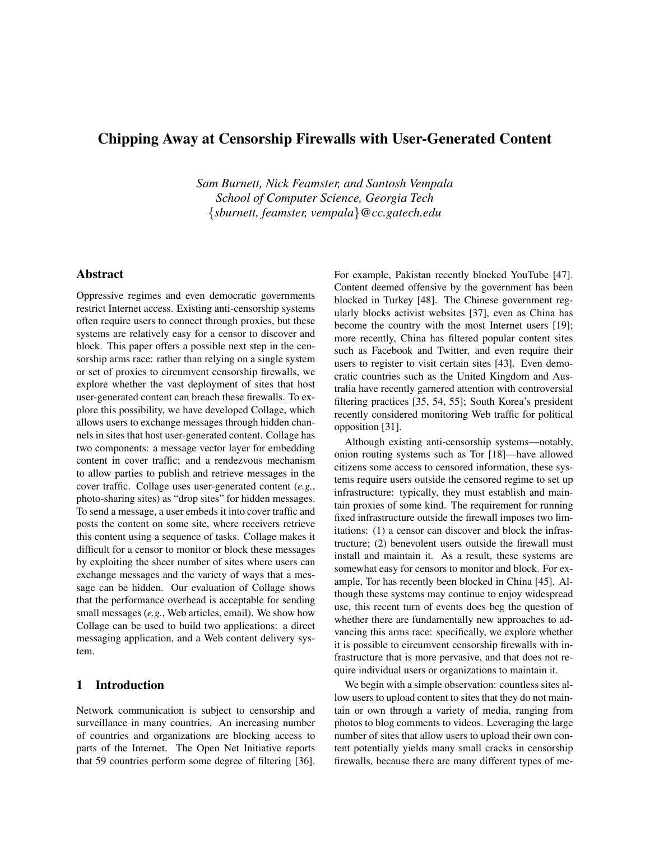# Chipping Away at Censorship Firewalls with User-Generated Content

*Sam Burnett, Nick Feamster, and Santosh Vempala School of Computer Science, Georgia Tech* {*sburnett, feamster, vempala*}*@cc.gatech.edu*

## Abstract

Oppressive regimes and even democratic governments restrict Internet access. Existing anti-censorship systems often require users to connect through proxies, but these systems are relatively easy for a censor to discover and block. This paper offers a possible next step in the censorship arms race: rather than relying on a single system or set of proxies to circumvent censorship firewalls, we explore whether the vast deployment of sites that host user-generated content can breach these firewalls. To explore this possibility, we have developed Collage, which allows users to exchange messages through hidden channels in sites that host user-generated content. Collage has two components: a message vector layer for embedding content in cover traffic; and a rendezvous mechanism to allow parties to publish and retrieve messages in the cover traffic. Collage uses user-generated content (*e.g.*, photo-sharing sites) as "drop sites" for hidden messages. To send a message, a user embeds it into cover traffic and posts the content on some site, where receivers retrieve this content using a sequence of tasks. Collage makes it difficult for a censor to monitor or block these messages by exploiting the sheer number of sites where users can exchange messages and the variety of ways that a message can be hidden. Our evaluation of Collage shows that the performance overhead is acceptable for sending small messages (*e.g.*, Web articles, email). We show how Collage can be used to build two applications: a direct messaging application, and a Web content delivery system.

## 1 Introduction

Network communication is subject to censorship and surveillance in many countries. An increasing number of countries and organizations are blocking access to parts of the Internet. The Open Net Initiative reports that 59 countries perform some degree of filtering [36]. For example, Pakistan recently blocked YouTube [47]. Content deemed offensive by the government has been blocked in Turkey [48]. The Chinese government regularly blocks activist websites [37], even as China has become the country with the most Internet users [19]; more recently, China has filtered popular content sites such as Facebook and Twitter, and even require their users to register to visit certain sites [43]. Even democratic countries such as the United Kingdom and Australia have recently garnered attention with controversial filtering practices [35, 54, 55]; South Korea's president recently considered monitoring Web traffic for political opposition [31].

Although existing anti-censorship systems—notably, onion routing systems such as Tor [18]—have allowed citizens some access to censored information, these systems require users outside the censored regime to set up infrastructure: typically, they must establish and maintain proxies of some kind. The requirement for running fixed infrastructure outside the firewall imposes two limitations: (1) a censor can discover and block the infrastructure; (2) benevolent users outside the firewall must install and maintain it. As a result, these systems are somewhat easy for censors to monitor and block. For example, Tor has recently been blocked in China [45]. Although these systems may continue to enjoy widespread use, this recent turn of events does beg the question of whether there are fundamentally new approaches to advancing this arms race: specifically, we explore whether it is possible to circumvent censorship firewalls with infrastructure that is more pervasive, and that does not require individual users or organizations to maintain it.

We begin with a simple observation: countless sites allow users to upload content to sites that they do not maintain or own through a variety of media, ranging from photos to blog comments to videos. Leveraging the large number of sites that allow users to upload their own content potentially yields many small cracks in censorship firewalls, because there are many different types of me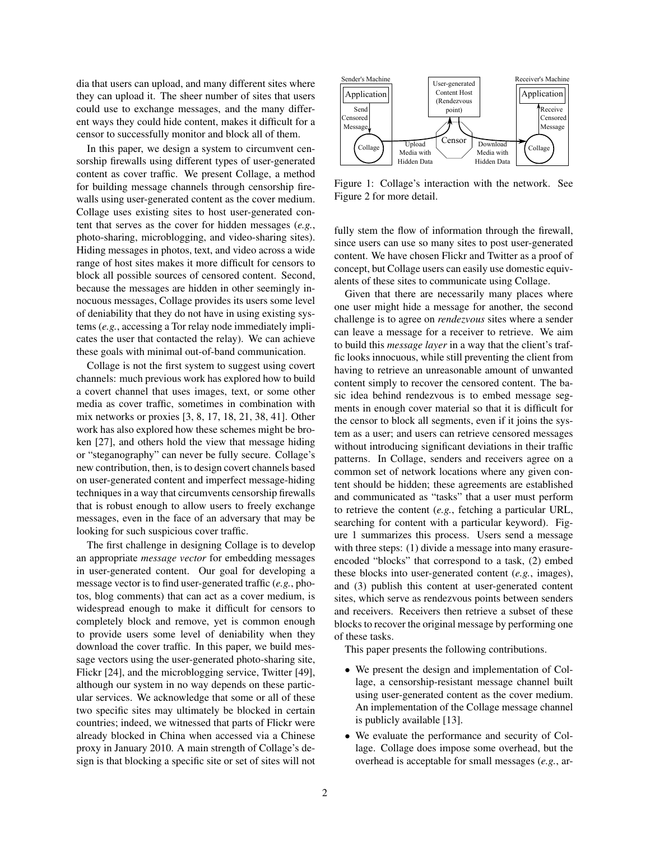dia that users can upload, and many different sites where they can upload it. The sheer number of sites that users could use to exchange messages, and the many different ways they could hide content, makes it difficult for a censor to successfully monitor and block all of them.

In this paper, we design a system to circumvent censorship firewalls using different types of user-generated content as cover traffic. We present Collage, a method for building message channels through censorship firewalls using user-generated content as the cover medium. Collage uses existing sites to host user-generated content that serves as the cover for hidden messages (*e.g.*, photo-sharing, microblogging, and video-sharing sites). Hiding messages in photos, text, and video across a wide range of host sites makes it more difficult for censors to block all possible sources of censored content. Second, because the messages are hidden in other seemingly innocuous messages, Collage provides its users some level of deniability that they do not have in using existing systems (*e.g.*, accessing a Tor relay node immediately implicates the user that contacted the relay). We can achieve these goals with minimal out-of-band communication.

Collage is not the first system to suggest using covert channels: much previous work has explored how to build a covert channel that uses images, text, or some other media as cover traffic, sometimes in combination with mix networks or proxies [3, 8, 17, 18, 21, 38, 41]. Other work has also explored how these schemes might be broken [27], and others hold the view that message hiding or "steganography" can never be fully secure. Collage's new contribution, then, is to design covert channels based on user-generated content and imperfect message-hiding techniques in a way that circumvents censorship firewalls that is robust enough to allow users to freely exchange messages, even in the face of an adversary that may be looking for such suspicious cover traffic.

The first challenge in designing Collage is to develop an appropriate *message vector* for embedding messages in user-generated content. Our goal for developing a message vector is to find user-generated traffic (*e.g.*, photos, blog comments) that can act as a cover medium, is widespread enough to make it difficult for censors to completely block and remove, yet is common enough to provide users some level of deniability when they download the cover traffic. In this paper, we build message vectors using the user-generated photo-sharing site, Flickr [24], and the microblogging service, Twitter [49], although our system in no way depends on these particular services. We acknowledge that some or all of these two specific sites may ultimately be blocked in certain countries; indeed, we witnessed that parts of Flickr were already blocked in China when accessed via a Chinese proxy in January 2010. A main strength of Collage's de-Lead this paper, we design a system to diventure the<br>matrix  $\begin{pmatrix} \cos \theta \\ \sin \theta \end{pmatrix}$  the site of site of site or set of site or set of site or set or set of site or<br>site or set of site or set or set or set or set or set or



Figure 1: Collage's interaction with the network. See Figure 2 for more detail.

fully stem the flow of information through the firewall, since users can use so many sites to post user-generated content. We have chosen Flickr and Twitter as a proof of concept, but Collage users can easily use domestic equivalents of these sites to communicate using Collage.

Given that there are necessarily many places where one user might hide a message for another, the second challenge is to agree on *rendezvous* sites where a sender can leave a message for a receiver to retrieve. We aim to build this *message layer* in a way that the client's traffic looks innocuous, while still preventing the client from having to retrieve an unreasonable amount of unwanted content simply to recover the censored content. The basic idea behind rendezvous is to embed message segments in enough cover material so that it is difficult for the censor to block all segments, even if it joins the system as a user; and users can retrieve censored messages without introducing significant deviations in their traffic patterns. In Collage, senders and receivers agree on a common set of network locations where any given content should be hidden; these agreements are established and communicated as "tasks" that a user must perform to retrieve the content (*e.g.*, fetching a particular URL, searching for content with a particular keyword). Figure 1 summarizes this process. Users send a message with three steps: (1) divide a message into many erasureencoded "blocks" that correspond to a task, (2) embed these blocks into user-generated content (*e.g.*, images), and (3) publish this content at user-generated content sites, which serve as rendezvous points between senders and receivers. Receivers then retrieve a subset of these blocks to recover the original message by performing one of these tasks.

This paper presents the following contributions.

- We present the design and implementation of Collage, a censorship-resistant message channel built using user-generated content as the cover medium. An implementation of the Collage message channel is publicly available [13].
- We evaluate the performance and security of Collage. Collage does impose some overhead, but the overhead is acceptable for small messages (*e.g.*, ar-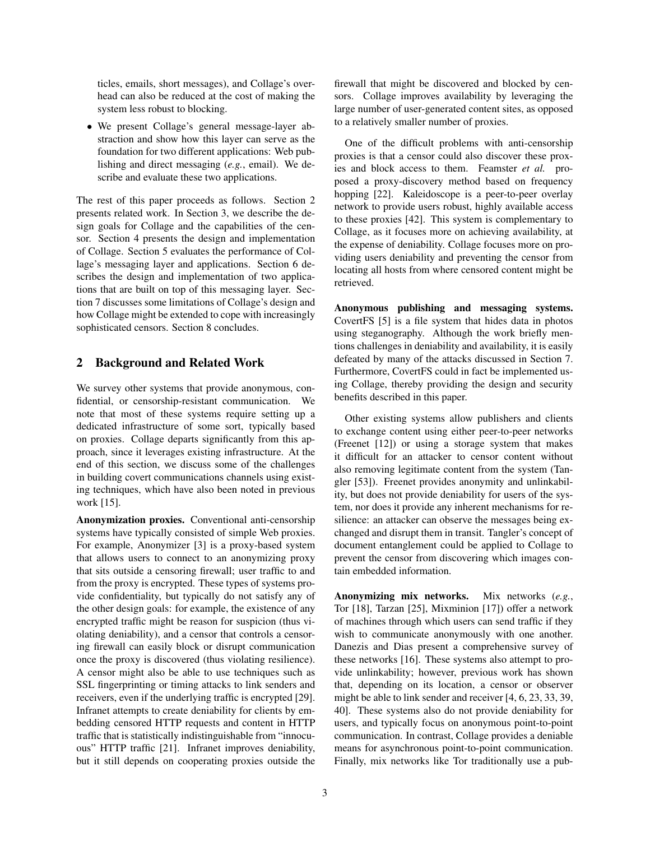ticles, emails, short messages), and Collage's overhead can also be reduced at the cost of making the system less robust to blocking.

• We present Collage's general message-layer abstraction and show how this layer can serve as the foundation for two different applications: Web publishing and direct messaging (*e.g.*, email). We describe and evaluate these two applications.

The rest of this paper proceeds as follows. Section 2 presents related work. In Section 3, we describe the design goals for Collage and the capabilities of the censor. Section 4 presents the design and implementation of Collage. Section 5 evaluates the performance of Collage's messaging layer and applications. Section 6 describes the design and implementation of two applications that are built on top of this messaging layer. Section 7 discusses some limitations of Collage's design and how Collage might be extended to cope with increasingly sophisticated censors. Section 8 concludes.

## 2 Background and Related Work

We survey other systems that provide anonymous, confidential, or censorship-resistant communication. We note that most of these systems require setting up a dedicated infrastructure of some sort, typically based on proxies. Collage departs significantly from this approach, since it leverages existing infrastructure. At the end of this section, we discuss some of the challenges in building covert communications channels using existing techniques, which have also been noted in previous work [15].

Anonymization proxies. Conventional anti-censorship systems have typically consisted of simple Web proxies. For example, Anonymizer [3] is a proxy-based system that allows users to connect to an anonymizing proxy that sits outside a censoring firewall; user traffic to and from the proxy is encrypted. These types of systems provide confidentiality, but typically do not satisfy any of the other design goals: for example, the existence of any encrypted traffic might be reason for suspicion (thus violating deniability), and a censor that controls a censoring firewall can easily block or disrupt communication once the proxy is discovered (thus violating resilience). A censor might also be able to use techniques such as SSL fingerprinting or timing attacks to link senders and receivers, even if the underlying traffic is encrypted [29]. Infranet attempts to create deniability for clients by embedding censored HTTP requests and content in HTTP traffic that is statistically indistinguishable from "innocuous" HTTP traffic [21]. Infranet improves deniability, but it still depends on cooperating proxies outside the firewall that might be discovered and blocked by censors. Collage improves availability by leveraging the large number of user-generated content sites, as opposed to a relatively smaller number of proxies.

One of the difficult problems with anti-censorship proxies is that a censor could also discover these proxies and block access to them. Feamster *et al.* proposed a proxy-discovery method based on frequency hopping [22]. Kaleidoscope is a peer-to-peer overlay network to provide users robust, highly available access to these proxies [42]. This system is complementary to Collage, as it focuses more on achieving availability, at the expense of deniability. Collage focuses more on providing users deniability and preventing the censor from locating all hosts from where censored content might be retrieved.

Anonymous publishing and messaging systems. CovertFS [5] is a file system that hides data in photos using steganography. Although the work briefly mentions challenges in deniability and availability, it is easily defeated by many of the attacks discussed in Section 7. Furthermore, CovertFS could in fact be implemented using Collage, thereby providing the design and security benefits described in this paper.

Other existing systems allow publishers and clients to exchange content using either peer-to-peer networks (Freenet [12]) or using a storage system that makes it difficult for an attacker to censor content without also removing legitimate content from the system (Tangler [53]). Freenet provides anonymity and unlinkability, but does not provide deniability for users of the system, nor does it provide any inherent mechanisms for resilience: an attacker can observe the messages being exchanged and disrupt them in transit. Tangler's concept of document entanglement could be applied to Collage to prevent the censor from discovering which images contain embedded information.

Anonymizing mix networks. Mix networks (*e.g.*, Tor [18], Tarzan [25], Mixminion [17]) offer a network of machines through which users can send traffic if they wish to communicate anonymously with one another. Danezis and Dias present a comprehensive survey of these networks [16]. These systems also attempt to provide unlinkability; however, previous work has shown that, depending on its location, a censor or observer might be able to link sender and receiver [4, 6, 23, 33, 39, 40]. These systems also do not provide deniability for users, and typically focus on anonymous point-to-point communication. In contrast, Collage provides a deniable means for asynchronous point-to-point communication. Finally, mix networks like Tor traditionally use a pub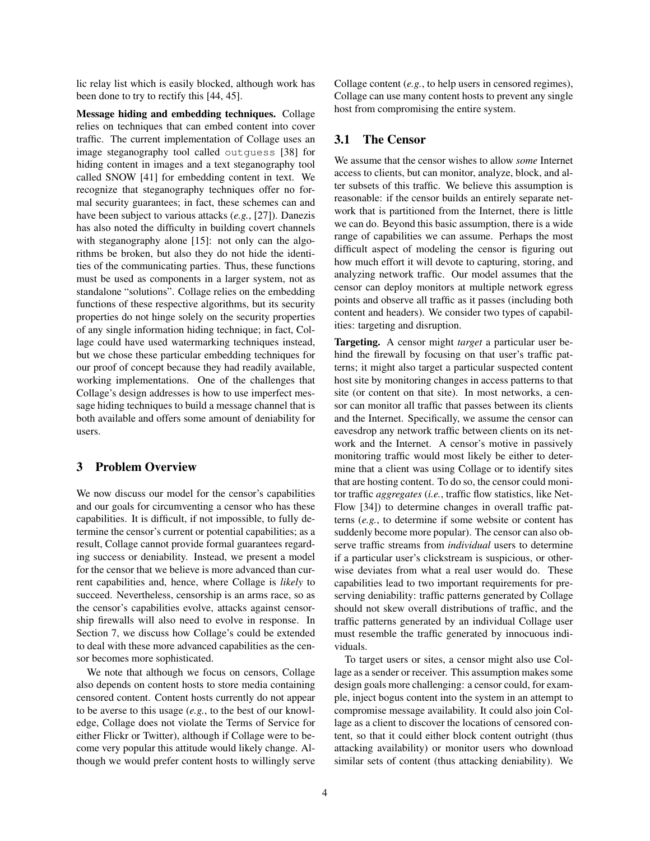lic relay list which is easily blocked, although work has been done to try to rectify this [44, 45].

Message hiding and embedding techniques. Collage relies on techniques that can embed content into cover traffic. The current implementation of Collage uses an image steganography tool called outguess [38] for hiding content in images and a text steganography tool called SNOW [41] for embedding content in text. We recognize that steganography techniques offer no formal security guarantees; in fact, these schemes can and have been subject to various attacks (*e.g.*, [27]). Danezis has also noted the difficulty in building covert channels with steganography alone [15]: not only can the algorithms be broken, but also they do not hide the identities of the communicating parties. Thus, these functions must be used as components in a larger system, not as standalone "solutions". Collage relies on the embedding functions of these respective algorithms, but its security properties do not hinge solely on the security properties of any single information hiding technique; in fact, Collage could have used watermarking techniques instead, but we chose these particular embedding techniques for our proof of concept because they had readily available, working implementations. One of the challenges that Collage's design addresses is how to use imperfect message hiding techniques to build a message channel that is both available and offers some amount of deniability for users.

### 3 Problem Overview

We now discuss our model for the censor's capabilities and our goals for circumventing a censor who has these capabilities. It is difficult, if not impossible, to fully determine the censor's current or potential capabilities; as a result, Collage cannot provide formal guarantees regarding success or deniability. Instead, we present a model for the censor that we believe is more advanced than current capabilities and, hence, where Collage is *likely* to succeed. Nevertheless, censorship is an arms race, so as the censor's capabilities evolve, attacks against censorship firewalls will also need to evolve in response. In Section 7, we discuss how Collage's could be extended to deal with these more advanced capabilities as the censor becomes more sophisticated.

We note that although we focus on censors, Collage also depends on content hosts to store media containing censored content. Content hosts currently do not appear to be averse to this usage (*e.g.*, to the best of our knowledge, Collage does not violate the Terms of Service for either Flickr or Twitter), although if Collage were to become very popular this attitude would likely change. Although we would prefer content hosts to willingly serve Collage content (*e.g.*, to help users in censored regimes), Collage can use many content hosts to prevent any single host from compromising the entire system.

## 3.1 The Censor

We assume that the censor wishes to allow *some* Internet access to clients, but can monitor, analyze, block, and alter subsets of this traffic. We believe this assumption is reasonable: if the censor builds an entirely separate network that is partitioned from the Internet, there is little we can do. Beyond this basic assumption, there is a wide range of capabilities we can assume. Perhaps the most difficult aspect of modeling the censor is figuring out how much effort it will devote to capturing, storing, and analyzing network traffic. Our model assumes that the censor can deploy monitors at multiple network egress points and observe all traffic as it passes (including both content and headers). We consider two types of capabilities: targeting and disruption.

Targeting. A censor might *target* a particular user behind the firewall by focusing on that user's traffic patterns; it might also target a particular suspected content host site by monitoring changes in access patterns to that site (or content on that site). In most networks, a censor can monitor all traffic that passes between its clients and the Internet. Specifically, we assume the censor can eavesdrop any network traffic between clients on its network and the Internet. A censor's motive in passively monitoring traffic would most likely be either to determine that a client was using Collage or to identify sites that are hosting content. To do so, the censor could monitor traffic *aggregates* (*i.e.*, traffic flow statistics, like Net-Flow [34]) to determine changes in overall traffic patterns (*e.g.*, to determine if some website or content has suddenly become more popular). The censor can also observe traffic streams from *individual* users to determine if a particular user's clickstream is suspicious, or otherwise deviates from what a real user would do. These capabilities lead to two important requirements for preserving deniability: traffic patterns generated by Collage should not skew overall distributions of traffic, and the traffic patterns generated by an individual Collage user must resemble the traffic generated by innocuous individuals.

To target users or sites, a censor might also use Collage as a sender or receiver. This assumption makes some design goals more challenging: a censor could, for example, inject bogus content into the system in an attempt to compromise message availability. It could also join Collage as a client to discover the locations of censored content, so that it could either block content outright (thus attacking availability) or monitor users who download similar sets of content (thus attacking deniability). We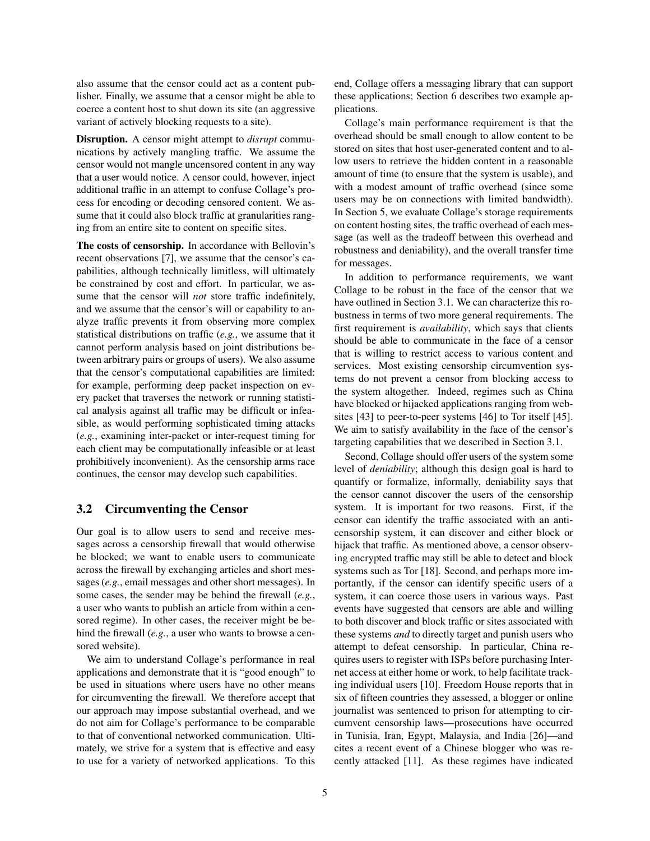also assume that the censor could act as a content publisher. Finally, we assume that a censor might be able to coerce a content host to shut down its site (an aggressive variant of actively blocking requests to a site).

Disruption. A censor might attempt to *disrupt* communications by actively mangling traffic. We assume the censor would not mangle uncensored content in any way that a user would notice. A censor could, however, inject additional traffic in an attempt to confuse Collage's process for encoding or decoding censored content. We assume that it could also block traffic at granularities ranging from an entire site to content on specific sites.

The costs of censorship. In accordance with Bellovin's recent observations [7], we assume that the censor's capabilities, although technically limitless, will ultimately be constrained by cost and effort. In particular, we assume that the censor will *not* store traffic indefinitely, and we assume that the censor's will or capability to analyze traffic prevents it from observing more complex statistical distributions on traffic (*e.g.*, we assume that it cannot perform analysis based on joint distributions between arbitrary pairs or groups of users). We also assume that the censor's computational capabilities are limited: for example, performing deep packet inspection on every packet that traverses the network or running statistical analysis against all traffic may be difficult or infeasible, as would performing sophisticated timing attacks (*e.g.*, examining inter-packet or inter-request timing for each client may be computationally infeasible or at least prohibitively inconvenient). As the censorship arms race continues, the censor may develop such capabilities.

### 3.2 Circumventing the Censor

Our goal is to allow users to send and receive messages across a censorship firewall that would otherwise be blocked; we want to enable users to communicate across the firewall by exchanging articles and short messages (*e.g.*, email messages and other short messages). In some cases, the sender may be behind the firewall (*e.g.*, a user who wants to publish an article from within a censored regime). In other cases, the receiver might be behind the firewall (*e.g.*, a user who wants to browse a censored website).

We aim to understand Collage's performance in real applications and demonstrate that it is "good enough" to be used in situations where users have no other means for circumventing the firewall. We therefore accept that our approach may impose substantial overhead, and we do not aim for Collage's performance to be comparable to that of conventional networked communication. Ultimately, we strive for a system that is effective and easy to use for a variety of networked applications. To this end, Collage offers a messaging library that can support these applications; Section 6 describes two example applications.

Collage's main performance requirement is that the overhead should be small enough to allow content to be stored on sites that host user-generated content and to allow users to retrieve the hidden content in a reasonable amount of time (to ensure that the system is usable), and with a modest amount of traffic overhead (since some users may be on connections with limited bandwidth). In Section 5, we evaluate Collage's storage requirements on content hosting sites, the traffic overhead of each message (as well as the tradeoff between this overhead and robustness and deniability), and the overall transfer time for messages.

In addition to performance requirements, we want Collage to be robust in the face of the censor that we have outlined in Section 3.1. We can characterize this robustness in terms of two more general requirements. The first requirement is *availability*, which says that clients should be able to communicate in the face of a censor that is willing to restrict access to various content and services. Most existing censorship circumvention systems do not prevent a censor from blocking access to the system altogether. Indeed, regimes such as China have blocked or hijacked applications ranging from websites [43] to peer-to-peer systems [46] to Tor itself [45]. We aim to satisfy availability in the face of the censor's targeting capabilities that we described in Section 3.1.

Second, Collage should offer users of the system some level of *deniability*; although this design goal is hard to quantify or formalize, informally, deniability says that the censor cannot discover the users of the censorship system. It is important for two reasons. First, if the censor can identify the traffic associated with an anticensorship system, it can discover and either block or hijack that traffic. As mentioned above, a censor observing encrypted traffic may still be able to detect and block systems such as Tor [18]. Second, and perhaps more importantly, if the censor can identify specific users of a system, it can coerce those users in various ways. Past events have suggested that censors are able and willing to both discover and block traffic or sites associated with these systems *and* to directly target and punish users who attempt to defeat censorship. In particular, China requires users to register with ISPs before purchasing Internet access at either home or work, to help facilitate tracking individual users [10]. Freedom House reports that in six of fifteen countries they assessed, a blogger or online journalist was sentenced to prison for attempting to circumvent censorship laws—prosecutions have occurred in Tunisia, Iran, Egypt, Malaysia, and India [26]—and cites a recent event of a Chinese blogger who was recently attacked [11]. As these regimes have indicated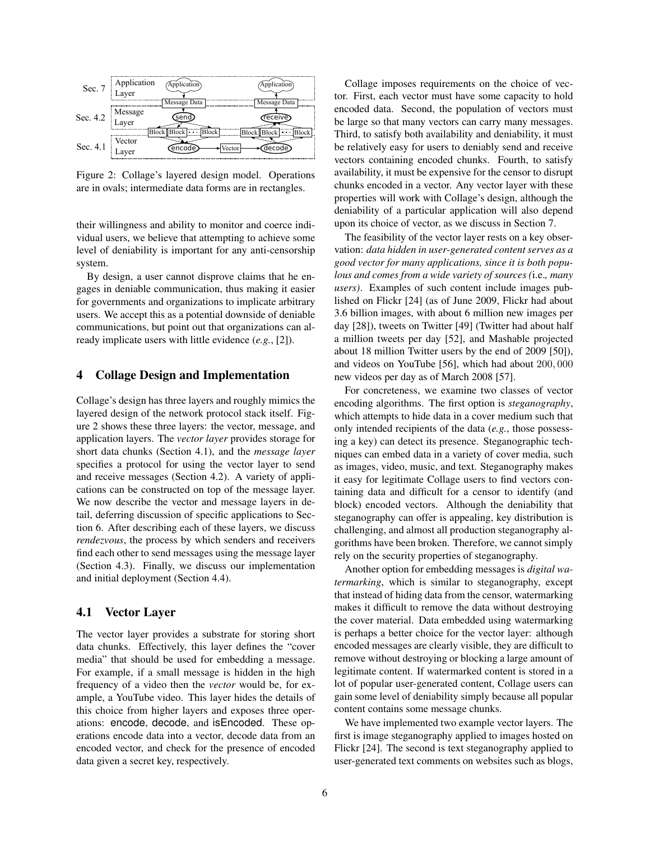

Figure 2: Collage's layered design model. Operations are in ovals; intermediate data forms are in rectangles.

their willingness and ability to monitor and coerce individual users, we believe that attempting to achieve some level of deniability is important for any anti-censorship system.

By design, a user cannot disprove claims that he engages in deniable communication, thus making it easier for governments and organizations to implicate arbitrary users. We accept this as a potential downside of deniable communications, but point out that organizations can already implicate users with little evidence (*e.g.*, [2]).

### 4 Collage Design and Implementation

Collage's design has three layers and roughly mimics the layered design of the network protocol stack itself. Figure 2 shows these three layers: the vector, message, and application layers. The *vector layer* provides storage for short data chunks (Section 4.1), and the *message layer* specifies a protocol for using the vector layer to send and receive messages (Section 4.2). A variety of applications can be constructed on top of the message layer. We now describe the vector and message layers in detail, deferring discussion of specific applications to Section 6. After describing each of these layers, we discuss *rendezvous*, the process by which senders and receivers find each other to send messages using the message layer (Section 4.3). Finally, we discuss our implementation and initial deployment (Section 4.4).

## 4.1 Vector Layer

The vector layer provides a substrate for storing short data chunks. Effectively, this layer defines the "cover media" that should be used for embedding a message. For example, if a small message is hidden in the high frequency of a video then the *vector* would be, for example, a YouTube video. This layer hides the details of this choice from higher layers and exposes three operations: encode, decode, and isEncoded. These operations encode data into a vector, decode data from an encoded vector, and check for the presence of encoded data given a secret key, respectively.

Collage imposes requirements on the choice of vector. First, each vector must have some capacity to hold encoded data. Second, the population of vectors must be large so that many vectors can carry many messages. Third, to satisfy both availability and deniability, it must be relatively easy for users to deniably send and receive vectors containing encoded chunks. Fourth, to satisfy availability, it must be expensive for the censor to disrupt chunks encoded in a vector. Any vector layer with these properties will work with Collage's design, although the deniability of a particular application will also depend upon its choice of vector, as we discuss in Section 7.

The feasibility of the vector layer rests on a key observation: *data hidden in user-generated content serves as a good vector for many applications, since it is both populous and comes from a wide variety of sources (*i.e.*, many users)*. Examples of such content include images published on Flickr [24] (as of June 2009, Flickr had about 3.6 billion images, with about 6 million new images per day [28]), tweets on Twitter [49] (Twitter had about half a million tweets per day [52], and Mashable projected about 18 million Twitter users by the end of 2009 [50]), and videos on YouTube [56], which had about 200, 000 new videos per day as of March 2008 [57].

For concreteness, we examine two classes of vector encoding algorithms. The first option is *steganography*, which attempts to hide data in a cover medium such that only intended recipients of the data (*e.g.*, those possessing a key) can detect its presence. Steganographic techniques can embed data in a variety of cover media, such as images, video, music, and text. Steganography makes it easy for legitimate Collage users to find vectors containing data and difficult for a censor to identify (and block) encoded vectors. Although the deniability that steganography can offer is appealing, key distribution is challenging, and almost all production steganography algorithms have been broken. Therefore, we cannot simply rely on the security properties of steganography.

Another option for embedding messages is *digital watermarking*, which is similar to steganography, except that instead of hiding data from the censor, watermarking makes it difficult to remove the data without destroying the cover material. Data embedded using watermarking is perhaps a better choice for the vector layer: although encoded messages are clearly visible, they are difficult to remove without destroying or blocking a large amount of legitimate content. If watermarked content is stored in a lot of popular user-generated content, Collage users can gain some level of deniability simply because all popular content contains some message chunks.

We have implemented two example vector layers. The first is image steganography applied to images hosted on Flickr [24]. The second is text steganography applied to user-generated text comments on websites such as blogs,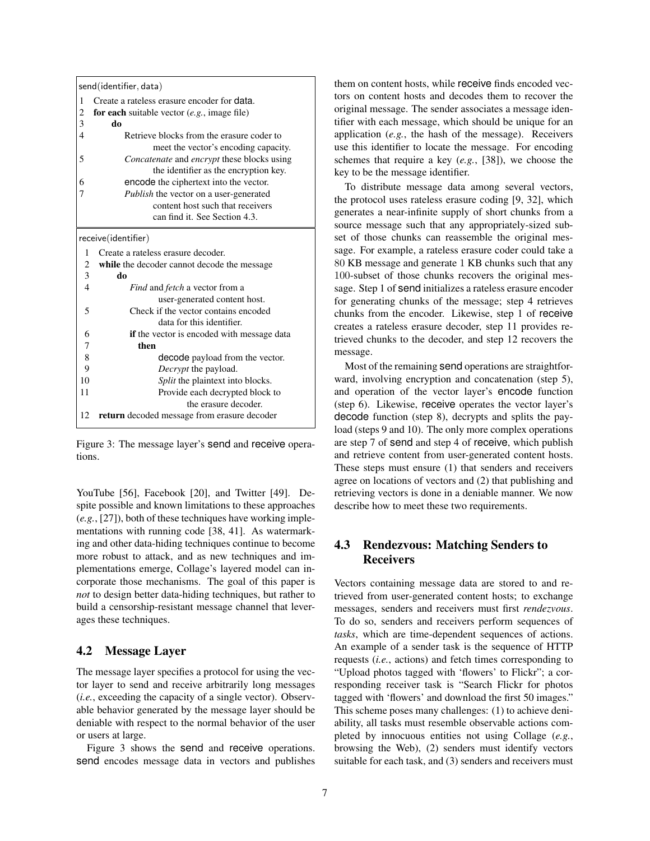| send(identifier, data) |                                                          |  |  |  |  |  |
|------------------------|----------------------------------------------------------|--|--|--|--|--|
| 1                      | Create a rateless erasure encoder for <b>data</b> .      |  |  |  |  |  |
| 2                      | for each suitable vector $(e.g., \text{ image file})$    |  |  |  |  |  |
| 3                      | do                                                       |  |  |  |  |  |
| $\overline{4}$         | Retrieve blocks from the erasure coder to                |  |  |  |  |  |
|                        | meet the vector's encoding capacity.                     |  |  |  |  |  |
| 5                      | <i>Concatenate</i> and <i>encrypt</i> these blocks using |  |  |  |  |  |
|                        | the identifier as the encryption key.                    |  |  |  |  |  |
| 6                      | encode the ciphertext into the vector.                   |  |  |  |  |  |
| 7                      | Publish the vector on a user-generated                   |  |  |  |  |  |
|                        | content host such that receivers                         |  |  |  |  |  |
|                        | can find it. See Section 4.3.                            |  |  |  |  |  |
| receive(identifier)    |                                                          |  |  |  |  |  |
| 1                      | Create a rateless erasure decoder.                       |  |  |  |  |  |
| 2                      | while the decoder cannot decode the message              |  |  |  |  |  |
| 3                      | do                                                       |  |  |  |  |  |
| $\overline{4}$         | <i>Find</i> and <i>fetch</i> a vector from a             |  |  |  |  |  |
|                        | user-generated content host.                             |  |  |  |  |  |
| 5                      | Check if the vector contains encoded                     |  |  |  |  |  |
|                        | data for this identifier.                                |  |  |  |  |  |
| 6                      | <b>if</b> the vector is encoded with message data        |  |  |  |  |  |
| 7                      | then                                                     |  |  |  |  |  |
| 8                      | decode payload from the vector.                          |  |  |  |  |  |
| 9                      | <i>Decrypt</i> the payload.                              |  |  |  |  |  |
| 10                     | Split the plaintext into blocks.                         |  |  |  |  |  |
| 11                     | Provide each decrypted block to                          |  |  |  |  |  |
|                        | the erasure decoder.                                     |  |  |  |  |  |
| 12                     | <b>return</b> decoded message from erasure decoder       |  |  |  |  |  |

Figure 3: The message layer's send and receive operations.

YouTube [56], Facebook [20], and Twitter [49]. Despite possible and known limitations to these approaches (*e.g.*, [27]), both of these techniques have working implementations with running code [38, 41]. As watermarking and other data-hiding techniques continue to become more robust to attack, and as new techniques and implementations emerge, Collage's layered model can incorporate those mechanisms. The goal of this paper is *not* to design better data-hiding techniques, but rather to build a censorship-resistant message channel that leverages these techniques.

## 4.2 Message Layer

The message layer specifies a protocol for using the vector layer to send and receive arbitrarily long messages (*i.e.*, exceeding the capacity of a single vector). Observable behavior generated by the message layer should be deniable with respect to the normal behavior of the user or users at large.

Figure 3 shows the send and receive operations. send encodes message data in vectors and publishes them on content hosts, while receive finds encoded vectors on content hosts and decodes them to recover the original message. The sender associates a message identifier with each message, which should be unique for an application (*e.g.*, the hash of the message). Receivers use this identifier to locate the message. For encoding schemes that require a key (*e.g.*, [38]), we choose the key to be the message identifier.

To distribute message data among several vectors, the protocol uses rateless erasure coding [9, 32], which generates a near-infinite supply of short chunks from a source message such that any appropriately-sized subset of those chunks can reassemble the original message. For example, a rateless erasure coder could take a 80 KB message and generate 1 KB chunks such that any 100-subset of those chunks recovers the original message. Step 1 of send initializes a rateless erasure encoder for generating chunks of the message; step 4 retrieves chunks from the encoder. Likewise, step 1 of receive creates a rateless erasure decoder, step 11 provides retrieved chunks to the decoder, and step 12 recovers the message.

Most of the remaining send operations are straightforward, involving encryption and concatenation (step 5), and operation of the vector layer's encode function (step 6). Likewise, receive operates the vector layer's decode function (step 8), decrypts and splits the payload (steps 9 and 10). The only more complex operations are step 7 of send and step 4 of receive, which publish and retrieve content from user-generated content hosts. These steps must ensure (1) that senders and receivers agree on locations of vectors and (2) that publishing and retrieving vectors is done in a deniable manner. We now describe how to meet these two requirements.

## 4.3 Rendezvous: Matching Senders to Receivers

Vectors containing message data are stored to and retrieved from user-generated content hosts; to exchange messages, senders and receivers must first *rendezvous*. To do so, senders and receivers perform sequences of *tasks*, which are time-dependent sequences of actions. An example of a sender task is the sequence of HTTP requests (*i.e.*, actions) and fetch times corresponding to "Upload photos tagged with 'flowers' to Flickr"; a corresponding receiver task is "Search Flickr for photos tagged with 'flowers' and download the first 50 images." This scheme poses many challenges: (1) to achieve deniability, all tasks must resemble observable actions completed by innocuous entities not using Collage (*e.g.*, browsing the Web), (2) senders must identify vectors suitable for each task, and (3) senders and receivers must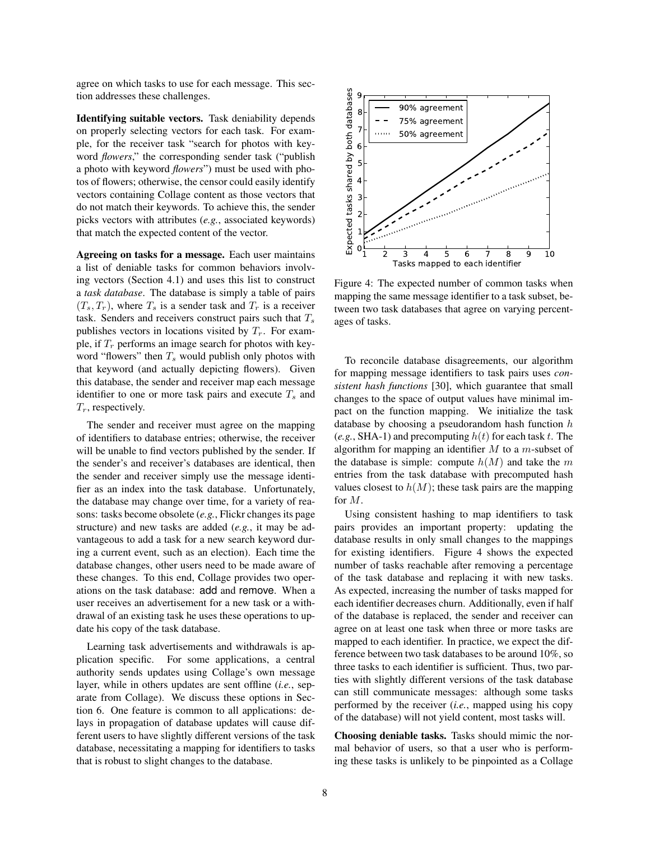agree on which tasks to use for each message. This section addresses these challenges.

Identifying suitable vectors. Task deniability depends on properly selecting vectors for each task. For example, for the receiver task "search for photos with keyword *flowers*," the corresponding sender task ("publish a photo with keyword *flowers*") must be used with photos of flowers; otherwise, the censor could easily identify vectors containing Collage content as those vectors that do not match their keywords. To achieve this, the sender picks vectors with attributes (*e.g.*, associated keywords) that match the expected content of the vector.

Agreeing on tasks for a message. Each user maintains a list of deniable tasks for common behaviors involving vectors (Section 4.1) and uses this list to construct a *task database*. The database is simply a table of pairs  $(T_s, T_r)$ , where  $T_s$  is a sender task and  $T_r$  is a receiver task. Senders and receivers construct pairs such that  $T_s$ publishes vectors in locations visited by  $T_r$ . For example, if  $T_r$  performs an image search for photos with keyword "flowers" then  $T_s$  would publish only photos with that keyword (and actually depicting flowers). Given this database, the sender and receiver map each message identifier to one or more task pairs and execute  $T_s$  and  $T_r$ , respectively.

The sender and receiver must agree on the mapping of identifiers to database entries; otherwise, the receiver will be unable to find vectors published by the sender. If the sender's and receiver's databases are identical, then the sender and receiver simply use the message identifier as an index into the task database. Unfortunately, the database may change over time, for a variety of reasons: tasks become obsolete (*e.g.*, Flickr changes its page structure) and new tasks are added (*e.g.*, it may be advantageous to add a task for a new search keyword during a current event, such as an election). Each time the database changes, other users need to be made aware of these changes. To this end, Collage provides two operations on the task database: add and remove. When a user receives an advertisement for a new task or a withdrawal of an existing task he uses these operations to update his copy of the task database.

Learning task advertisements and withdrawals is application specific. For some applications, a central authority sends updates using Collage's own message layer, while in others updates are sent offline (*i.e.*, separate from Collage). We discuss these options in Section 6. One feature is common to all applications: delays in propagation of database updates will cause different users to have slightly different versions of the task database, necessitating a mapping for identifiers to tasks that is robust to slight changes to the database.



Figure 4: The expected number of common tasks when mapping the same message identifier to a task subset, between two task databases that agree on varying percentages of tasks.

To reconcile database disagreements, our algorithm for mapping message identifiers to task pairs uses *consistent hash functions* [30], which guarantee that small changes to the space of output values have minimal impact on the function mapping. We initialize the task database by choosing a pseudorandom hash function  $h$  $(e.g., SHA-1)$  and precomputing  $h(t)$  for each task t. The algorithm for mapping an identifier  $M$  to a  $m$ -subset of the database is simple: compute  $h(M)$  and take the m entries from the task database with precomputed hash values closest to  $h(M)$ ; these task pairs are the mapping for M.

Using consistent hashing to map identifiers to task pairs provides an important property: updating the database results in only small changes to the mappings for existing identifiers. Figure 4 shows the expected number of tasks reachable after removing a percentage of the task database and replacing it with new tasks. As expected, increasing the number of tasks mapped for each identifier decreases churn. Additionally, even if half of the database is replaced, the sender and receiver can agree on at least one task when three or more tasks are mapped to each identifier. In practice, we expect the difference between two task databases to be around 10%, so three tasks to each identifier is sufficient. Thus, two parties with slightly different versions of the task database can still communicate messages: although some tasks performed by the receiver (*i.e.*, mapped using his copy of the database) will not yield content, most tasks will.

Choosing deniable tasks. Tasks should mimic the normal behavior of users, so that a user who is performing these tasks is unlikely to be pinpointed as a Collage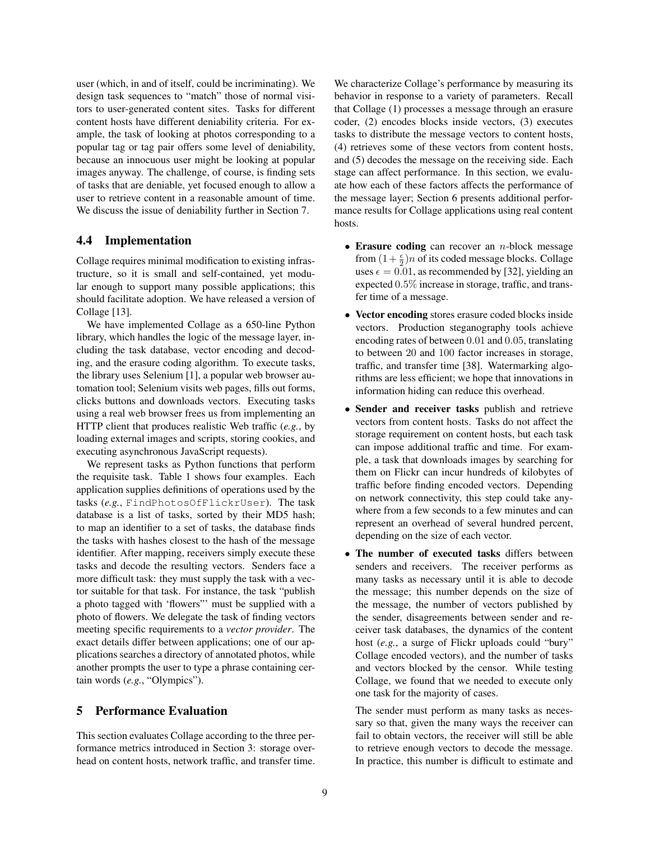user (which, in and of itself, could be incriminating). We design task sequences to "match" those of normal visitors to user-generated content sites. Tasks for different content hosts have different deniability criteria. For example, the task of looking at photos corresponding to a popular tag or tag pair offers some level of deniability, because an innocuous user might be looking at popular images anyway. The challenge, of course, is finding sets of tasks that are deniable, yet focused enough to allow a user to retrieve content in a reasonable amount of time. We discuss the issue of deniability further in Section 7.

### 4.4 Implementation

Collage requires minimal modification to existing infrastructure, so it is small and self-contained, yet modular enough to support many possible applications; this should facilitate adoption. We have released a version of Collage [13].

We have implemented Collage as a 650-line Python library, which handles the logic of the message layer, including the task database, vector encoding and decoding, and the erasure coding algorithm. To execute tasks, the library uses Selenium [1], a popular web browser automation tool; Selenium visits web pages, fills out forms, clicks buttons and downloads vectors. Executing tasks using a real web browser frees us from implementing an HTTP client that produces realistic Web traffic (*e.g.*, by loading external images and scripts, storing cookies, and executing asynchronous JavaScript requests).

We represent tasks as Python functions that perform the requisite task. Table 1 shows four examples. Each application supplies definitions of operations used by the tasks (*e.g.*, FindPhotosOfFlickrUser). The task database is a list of tasks, sorted by their MD5 hash; to map an identifier to a set of tasks, the database finds the tasks with hashes closest to the hash of the message identifier. After mapping, receivers simply execute these tasks and decode the resulting vectors. Senders face a more difficult task: they must supply the task with a vector suitable for that task. For instance, the task "publish a photo tagged with 'flowers"' must be supplied with a photo of flowers. We delegate the task of finding vectors meeting specific requirements to a *vector provider*. The exact details differ between applications; one of our applications searches a directory of annotated photos, while another prompts the user to type a phrase containing certain words (*e.g.*, "Olympics").

#### 5 Performance Evaluation

This section evaluates Collage according to the three performance metrics introduced in Section 3: storage overhead on content hosts, network traffic, and transfer time. We characterize Collage's performance by measuring its behavior in response to a variety of parameters. Recall that Collage (1) processes a message through an erasure coder, (2) encodes blocks inside vectors, (3) executes tasks to distribute the message vectors to content hosts, (4) retrieves some of these vectors from content hosts, and (5) decodes the message on the receiving side. Each stage can affect performance. In this section, we evaluate how each of these factors affects the performance of the message layer; Section 6 presents additional performance results for Collage applications using real content hosts.

- Erasure coding can recover an  $n$ -block message from  $(1+\frac{\epsilon}{2})n$  of its coded message blocks. Collage uses  $\epsilon = 0.01$ , as recommended by [32], yielding an expected 0.5% increase in storage, traffic, and transfer time of a message.
- Vector encoding stores erasure coded blocks inside vectors. Production steganography tools achieve encoding rates of between 0.01 and 0.05, translating to between 20 and 100 factor increases in storage, traffic, and transfer time [38]. Watermarking algorithms are less efficient; we hope that innovations in information hiding can reduce this overhead.
- Sender and receiver tasks publish and retrieve vectors from content hosts. Tasks do not affect the storage requirement on content hosts, but each task can impose additional traffic and time. For example, a task that downloads images by searching for them on Flickr can incur hundreds of kilobytes of traffic before finding encoded vectors. Depending on network connectivity, this step could take anywhere from a few seconds to a few minutes and can represent an overhead of several hundred percent, depending on the size of each vector.
- The number of executed tasks differs between senders and receivers. The receiver performs as many tasks as necessary until it is able to decode the message; this number depends on the size of the message, the number of vectors published by the sender, disagreements between sender and receiver task databases, the dynamics of the content host (*e.g.*, a surge of Flickr uploads could "bury" Collage encoded vectors), and the number of tasks and vectors blocked by the censor. While testing Collage, we found that we needed to execute only one task for the majority of cases.

The sender must perform as many tasks as necessary so that, given the many ways the receiver can fail to obtain vectors, the receiver will still be able to retrieve enough vectors to decode the message. In practice, this number is difficult to estimate and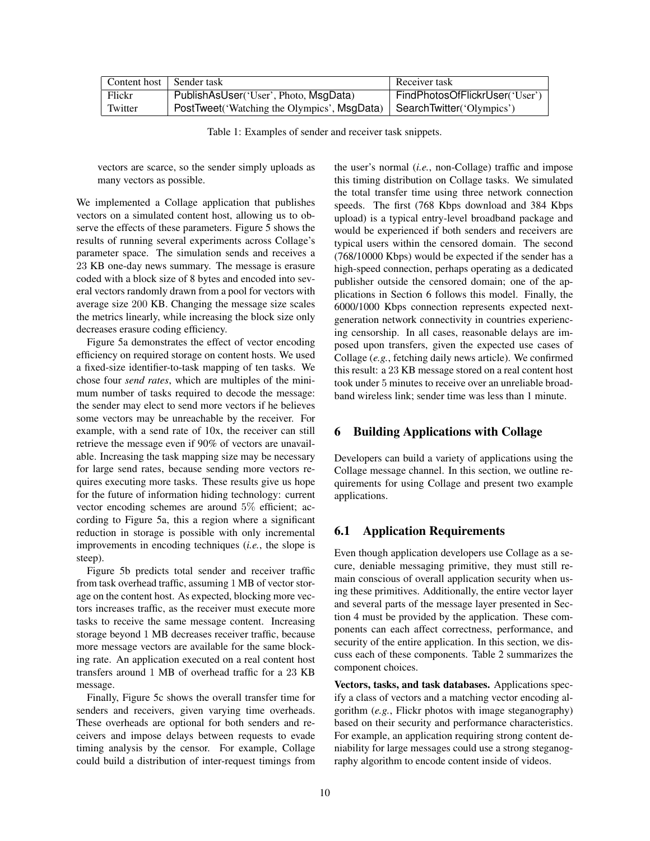| Content host   Sender task |                                              | Receiver task                  |
|----------------------------|----------------------------------------------|--------------------------------|
| Flickr                     | PublishAsUser('User', Photo, MsgData)        | FindPhotosOfFlickrUser('User') |
| Twitter                    | PostTweet ('Watching the Olympics', MsgData) | SearchTwitter('Olympics')      |

Table 1: Examples of sender and receiver task snippets.

vectors are scarce, so the sender simply uploads as many vectors as possible.

We implemented a Collage application that publishes vectors on a simulated content host, allowing us to observe the effects of these parameters. Figure 5 shows the results of running several experiments across Collage's parameter space. The simulation sends and receives a 23 KB one-day news summary. The message is erasure coded with a block size of 8 bytes and encoded into several vectors randomly drawn from a pool for vectors with average size 200 KB. Changing the message size scales the metrics linearly, while increasing the block size only decreases erasure coding efficiency.

Figure 5a demonstrates the effect of vector encoding efficiency on required storage on content hosts. We used a fixed-size identifier-to-task mapping of ten tasks. We chose four *send rates*, which are multiples of the minimum number of tasks required to decode the message: the sender may elect to send more vectors if he believes some vectors may be unreachable by the receiver. For example, with a send rate of 10x, the receiver can still retrieve the message even if 90% of vectors are unavailable. Increasing the task mapping size may be necessary for large send rates, because sending more vectors requires executing more tasks. These results give us hope for the future of information hiding technology: current vector encoding schemes are around 5% efficient; according to Figure 5a, this a region where a significant reduction in storage is possible with only incremental improvements in encoding techniques (*i.e.*, the slope is steep).

Figure 5b predicts total sender and receiver traffic from task overhead traffic, assuming 1 MB of vector storage on the content host. As expected, blocking more vectors increases traffic, as the receiver must execute more tasks to receive the same message content. Increasing storage beyond 1 MB decreases receiver traffic, because more message vectors are available for the same blocking rate. An application executed on a real content host transfers around 1 MB of overhead traffic for a 23 KB message.

Finally, Figure 5c shows the overall transfer time for senders and receivers, given varying time overheads. These overheads are optional for both senders and receivers and impose delays between requests to evade timing analysis by the censor. For example, Collage could build a distribution of inter-request timings from the user's normal (*i.e.*, non-Collage) traffic and impose this timing distribution on Collage tasks. We simulated the total transfer time using three network connection speeds. The first (768 Kbps download and 384 Kbps upload) is a typical entry-level broadband package and would be experienced if both senders and receivers are typical users within the censored domain. The second (768/10000 Kbps) would be expected if the sender has a high-speed connection, perhaps operating as a dedicated publisher outside the censored domain; one of the applications in Section 6 follows this model. Finally, the 6000/1000 Kbps connection represents expected nextgeneration network connectivity in countries experiencing censorship. In all cases, reasonable delays are imposed upon transfers, given the expected use cases of Collage (*e.g.*, fetching daily news article). We confirmed this result: a 23 KB message stored on a real content host took under 5 minutes to receive over an unreliable broadband wireless link; sender time was less than 1 minute.

## 6 Building Applications with Collage

Developers can build a variety of applications using the Collage message channel. In this section, we outline requirements for using Collage and present two example applications.

## 6.1 Application Requirements

Even though application developers use Collage as a secure, deniable messaging primitive, they must still remain conscious of overall application security when using these primitives. Additionally, the entire vector layer and several parts of the message layer presented in Section 4 must be provided by the application. These components can each affect correctness, performance, and security of the entire application. In this section, we discuss each of these components. Table 2 summarizes the component choices.

Vectors, tasks, and task databases. Applications specify a class of vectors and a matching vector encoding algorithm (*e.g.*, Flickr photos with image steganography) based on their security and performance characteristics. For example, an application requiring strong content deniability for large messages could use a strong steganography algorithm to encode content inside of videos.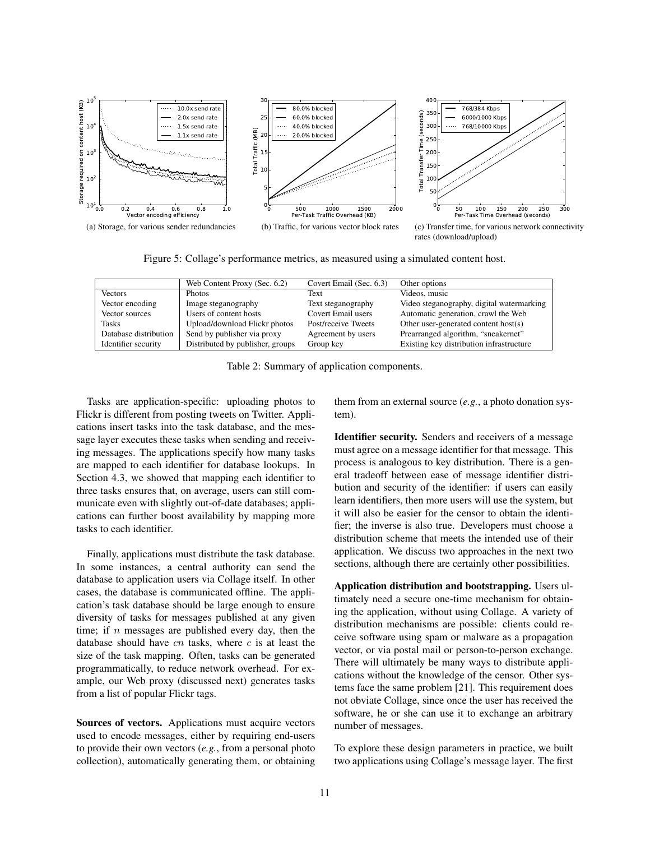

Figure 5: Collage's performance metrics, as measured using a simulated content host.

|                       | Web Content Proxy (Sec. 6.2)     | Covert Email (Sec. 6.3) | Other options                             |
|-----------------------|----------------------------------|-------------------------|-------------------------------------------|
| <b>Vectors</b>        | <b>Photos</b>                    | Text                    | Videos, music                             |
| Vector encoding       | Image steganography              | Text steganography      | Video steganography, digital watermarking |
| Vector sources        | Users of content hosts           | Covert Email users      | Automatic generation, crawl the Web       |
| <b>Tasks</b>          | Upload/download Flickr photos    | Post/receive Tweets     | Other user-generated content host(s)      |
| Database distribution | Send by publisher via proxy      | Agreement by users      | Prearranged algorithm, "sneakernet"       |
| Identifier security   | Distributed by publisher, groups | Group key               | Existing key distribution infrastructure  |

Table 2: Summary of application components.

Tasks are application-specific: uploading photos to Flickr is different from posting tweets on Twitter. Applications insert tasks into the task database, and the message layer executes these tasks when sending and receiving messages. The applications specify how many tasks are mapped to each identifier for database lookups. In Section 4.3, we showed that mapping each identifier to three tasks ensures that, on average, users can still communicate even with slightly out-of-date databases; applications can further boost availability by mapping more tasks to each identifier.

Finally, applications must distribute the task database. In some instances, a central authority can send the database to application users via Collage itself. In other cases, the database is communicated offline. The application's task database should be large enough to ensure diversity of tasks for messages published at any given time; if  $n$  messages are published every day, then the database should have  $cn$  tasks, where  $c$  is at least the size of the task mapping. Often, tasks can be generated programmatically, to reduce network overhead. For example, our Web proxy (discussed next) generates tasks from a list of popular Flickr tags.

Sources of vectors. Applications must acquire vectors used to encode messages, either by requiring end-users to provide their own vectors (*e.g.*, from a personal photo collection), automatically generating them, or obtaining them from an external source (*e.g.*, a photo donation system).

Identifier security. Senders and receivers of a message must agree on a message identifier for that message. This process is analogous to key distribution. There is a general tradeoff between ease of message identifier distribution and security of the identifier: if users can easily learn identifiers, then more users will use the system, but it will also be easier for the censor to obtain the identifier; the inverse is also true. Developers must choose a distribution scheme that meets the intended use of their application. We discuss two approaches in the next two sections, although there are certainly other possibilities.

Application distribution and bootstrapping. Users ultimately need a secure one-time mechanism for obtaining the application, without using Collage. A variety of distribution mechanisms are possible: clients could receive software using spam or malware as a propagation vector, or via postal mail or person-to-person exchange. There will ultimately be many ways to distribute applications without the knowledge of the censor. Other systems face the same problem [21]. This requirement does not obviate Collage, since once the user has received the software, he or she can use it to exchange an arbitrary number of messages.

To explore these design parameters in practice, we built two applications using Collage's message layer. The first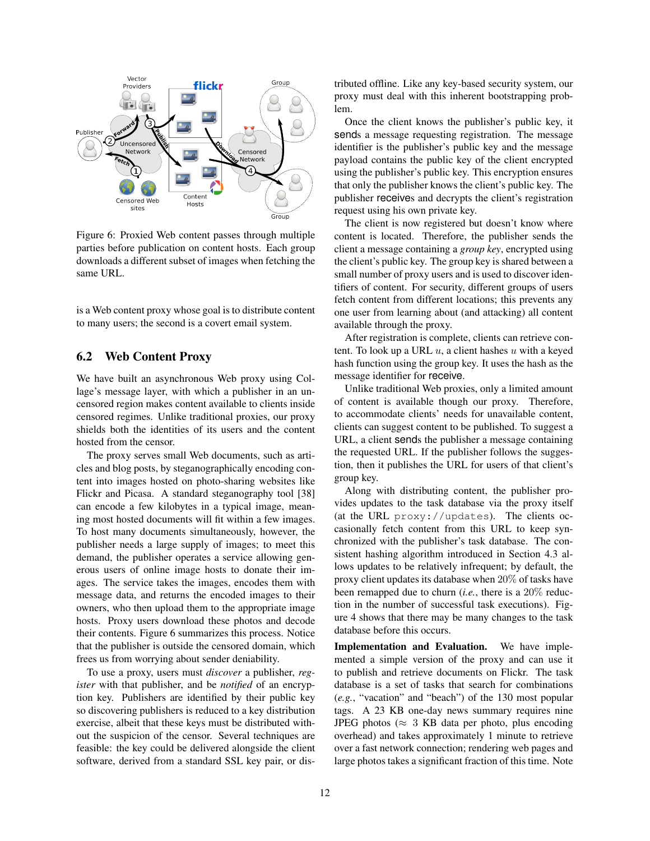

Figure 6: Proxied Web content passes through multiple parties before publication on content hosts. Each group downloads a different subset of images when fetching the same URL.

is a Web content proxy whose goal is to distribute content to many users; the second is a covert email system.

### 6.2 Web Content Proxy

We have built an asynchronous Web proxy using Collage's message layer, with which a publisher in an uncensored region makes content available to clients inside censored regimes. Unlike traditional proxies, our proxy shields both the identities of its users and the content hosted from the censor.

The proxy serves small Web documents, such as articles and blog posts, by steganographically encoding content into images hosted on photo-sharing websites like Flickr and Picasa. A standard steganography tool [38] can encode a few kilobytes in a typical image, meaning most hosted documents will fit within a few images. To host many documents simultaneously, however, the publisher needs a large supply of images; to meet this demand, the publisher operates a service allowing generous users of online image hosts to donate their images. The service takes the images, encodes them with message data, and returns the encoded images to their owners, who then upload them to the appropriate image hosts. Proxy users download these photos and decode their contents. Figure 6 summarizes this process. Notice that the publisher is outside the censored domain, which frees us from worrying about sender deniability.

To use a proxy, users must *discover* a publisher, *register* with that publisher, and be *notified* of an encryption key. Publishers are identified by their public key so discovering publishers is reduced to a key distribution exercise, albeit that these keys must be distributed without the suspicion of the censor. Several techniques are feasible: the key could be delivered alongside the client software, derived from a standard SSL key pair, or distributed offline. Like any key-based security system, our proxy must deal with this inherent bootstrapping problem.

Once the client knows the publisher's public key, it sends a message requesting registration. The message identifier is the publisher's public key and the message payload contains the public key of the client encrypted using the publisher's public key. This encryption ensures that only the publisher knows the client's public key. The publisher receives and decrypts the client's registration request using his own private key.

The client is now registered but doesn't know where content is located. Therefore, the publisher sends the client a message containing a *group key*, encrypted using the client's public key. The group key is shared between a small number of proxy users and is used to discover identifiers of content. For security, different groups of users fetch content from different locations; this prevents any one user from learning about (and attacking) all content available through the proxy.

After registration is complete, clients can retrieve content. To look up a URL  $u$ , a client hashes  $u$  with a keyed hash function using the group key. It uses the hash as the message identifier for receive.

Unlike traditional Web proxies, only a limited amount of content is available though our proxy. Therefore, to accommodate clients' needs for unavailable content, clients can suggest content to be published. To suggest a URL, a client sends the publisher a message containing the requested URL. If the publisher follows the suggestion, then it publishes the URL for users of that client's group key.

Along with distributing content, the publisher provides updates to the task database via the proxy itself (at the URL proxy://updates). The clients occasionally fetch content from this URL to keep synchronized with the publisher's task database. The consistent hashing algorithm introduced in Section 4.3 allows updates to be relatively infrequent; by default, the proxy client updates its database when 20% of tasks have been remapped due to churn (*i.e.*, there is a 20% reduction in the number of successful task executions). Figure 4 shows that there may be many changes to the task database before this occurs.

Implementation and Evaluation. We have implemented a simple version of the proxy and can use it to publish and retrieve documents on Flickr. The task database is a set of tasks that search for combinations (*e.g.*, "vacation" and "beach") of the 130 most popular tags. A 23 KB one-day news summary requires nine JPEG photos ( $\approx$  3 KB data per photo, plus encoding overhead) and takes approximately 1 minute to retrieve over a fast network connection; rendering web pages and large photos takes a significant fraction of this time. Note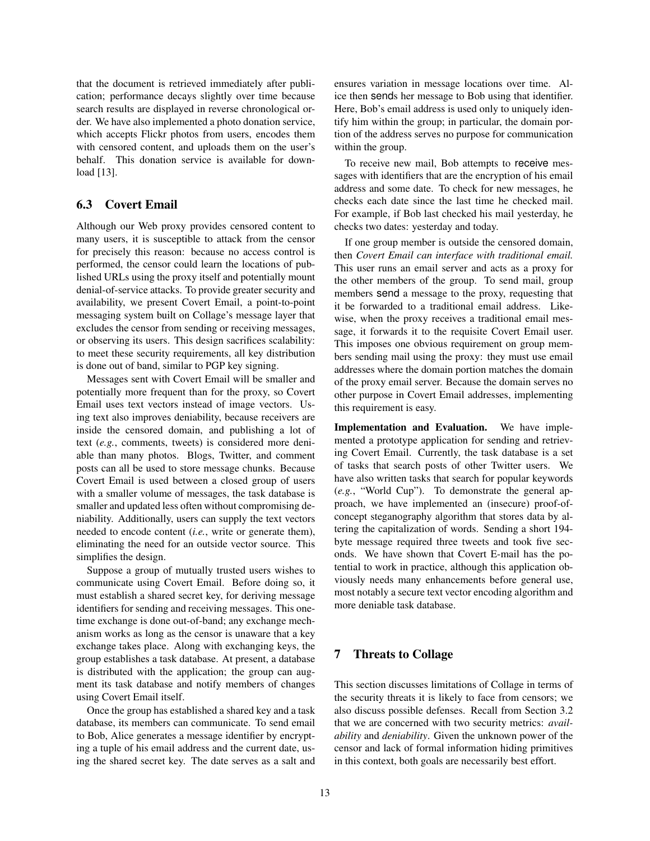that the document is retrieved immediately after publication; performance decays slightly over time because search results are displayed in reverse chronological order. We have also implemented a photo donation service, which accepts Flickr photos from users, encodes them with censored content, and uploads them on the user's behalf. This donation service is available for download [13].

## 6.3 Covert Email

Although our Web proxy provides censored content to many users, it is susceptible to attack from the censor for precisely this reason: because no access control is performed, the censor could learn the locations of published URLs using the proxy itself and potentially mount denial-of-service attacks. To provide greater security and availability, we present Covert Email, a point-to-point messaging system built on Collage's message layer that excludes the censor from sending or receiving messages, or observing its users. This design sacrifices scalability: to meet these security requirements, all key distribution is done out of band, similar to PGP key signing.

Messages sent with Covert Email will be smaller and potentially more frequent than for the proxy, so Covert Email uses text vectors instead of image vectors. Using text also improves deniability, because receivers are inside the censored domain, and publishing a lot of text (*e.g.*, comments, tweets) is considered more deniable than many photos. Blogs, Twitter, and comment posts can all be used to store message chunks. Because Covert Email is used between a closed group of users with a smaller volume of messages, the task database is smaller and updated less often without compromising deniability. Additionally, users can supply the text vectors needed to encode content (*i.e.*, write or generate them), eliminating the need for an outside vector source. This simplifies the design.

Suppose a group of mutually trusted users wishes to communicate using Covert Email. Before doing so, it must establish a shared secret key, for deriving message identifiers for sending and receiving messages. This onetime exchange is done out-of-band; any exchange mechanism works as long as the censor is unaware that a key exchange takes place. Along with exchanging keys, the group establishes a task database. At present, a database is distributed with the application; the group can augment its task database and notify members of changes using Covert Email itself.

Once the group has established a shared key and a task database, its members can communicate. To send email to Bob, Alice generates a message identifier by encrypting a tuple of his email address and the current date, using the shared secret key. The date serves as a salt and ensures variation in message locations over time. Alice then sends her message to Bob using that identifier. Here, Bob's email address is used only to uniquely identify him within the group; in particular, the domain portion of the address serves no purpose for communication within the group.

To receive new mail, Bob attempts to receive messages with identifiers that are the encryption of his email address and some date. To check for new messages, he checks each date since the last time he checked mail. For example, if Bob last checked his mail yesterday, he checks two dates: yesterday and today.

If one group member is outside the censored domain, then *Covert Email can interface with traditional email.* This user runs an email server and acts as a proxy for the other members of the group. To send mail, group members send a message to the proxy, requesting that it be forwarded to a traditional email address. Likewise, when the proxy receives a traditional email message, it forwards it to the requisite Covert Email user. This imposes one obvious requirement on group members sending mail using the proxy: they must use email addresses where the domain portion matches the domain of the proxy email server. Because the domain serves no other purpose in Covert Email addresses, implementing this requirement is easy.

Implementation and Evaluation. We have implemented a prototype application for sending and retrieving Covert Email. Currently, the task database is a set of tasks that search posts of other Twitter users. We have also written tasks that search for popular keywords (*e.g.*, "World Cup"). To demonstrate the general approach, we have implemented an (insecure) proof-ofconcept steganography algorithm that stores data by altering the capitalization of words. Sending a short 194 byte message required three tweets and took five seconds. We have shown that Covert E-mail has the potential to work in practice, although this application obviously needs many enhancements before general use, most notably a secure text vector encoding algorithm and more deniable task database.

## 7 Threats to Collage

This section discusses limitations of Collage in terms of the security threats it is likely to face from censors; we also discuss possible defenses. Recall from Section 3.2 that we are concerned with two security metrics: *availability* and *deniability*. Given the unknown power of the censor and lack of formal information hiding primitives in this context, both goals are necessarily best effort.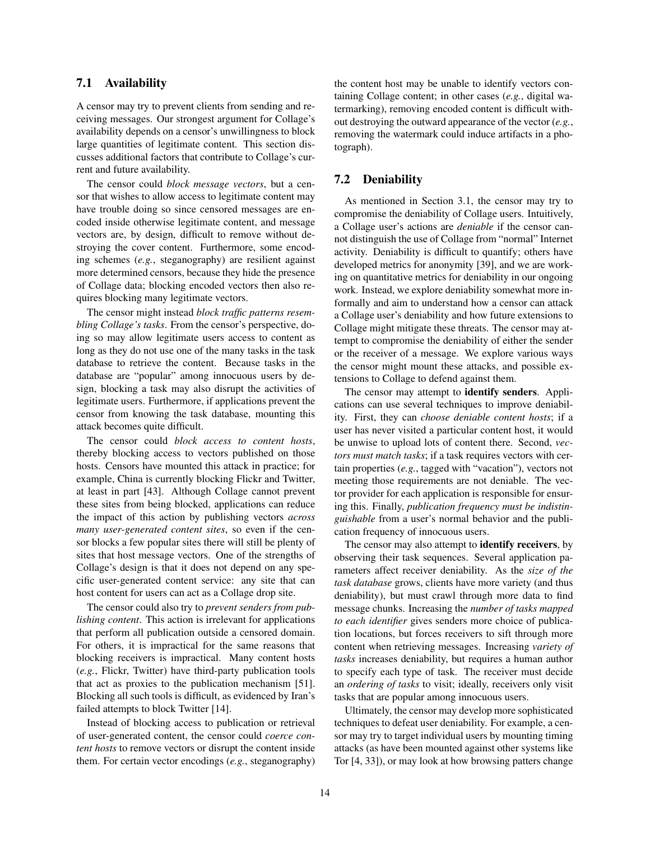### 7.1 Availability

A censor may try to prevent clients from sending and receiving messages. Our strongest argument for Collage's availability depends on a censor's unwillingness to block large quantities of legitimate content. This section discusses additional factors that contribute to Collage's current and future availability.

The censor could *block message vectors*, but a censor that wishes to allow access to legitimate content may have trouble doing so since censored messages are encoded inside otherwise legitimate content, and message vectors are, by design, difficult to remove without destroying the cover content. Furthermore, some encoding schemes (*e.g.*, steganography) are resilient against more determined censors, because they hide the presence of Collage data; blocking encoded vectors then also requires blocking many legitimate vectors.

The censor might instead *block traffic patterns resembling Collage's tasks*. From the censor's perspective, doing so may allow legitimate users access to content as long as they do not use one of the many tasks in the task database to retrieve the content. Because tasks in the database are "popular" among innocuous users by design, blocking a task may also disrupt the activities of legitimate users. Furthermore, if applications prevent the censor from knowing the task database, mounting this attack becomes quite difficult.

The censor could *block access to content hosts*, thereby blocking access to vectors published on those hosts. Censors have mounted this attack in practice; for example, China is currently blocking Flickr and Twitter, at least in part [43]. Although Collage cannot prevent these sites from being blocked, applications can reduce the impact of this action by publishing vectors *across many user-generated content sites*, so even if the censor blocks a few popular sites there will still be plenty of sites that host message vectors. One of the strengths of Collage's design is that it does not depend on any specific user-generated content service: any site that can host content for users can act as a Collage drop site.

The censor could also try to *prevent senders from publishing content*. This action is irrelevant for applications that perform all publication outside a censored domain. For others, it is impractical for the same reasons that blocking receivers is impractical. Many content hosts (*e.g.*, Flickr, Twitter) have third-party publication tools that act as proxies to the publication mechanism [51]. Blocking all such tools is difficult, as evidenced by Iran's failed attempts to block Twitter [14].

Instead of blocking access to publication or retrieval of user-generated content, the censor could *coerce content hosts* to remove vectors or disrupt the content inside them. For certain vector encodings (*e.g.*, steganography) the content host may be unable to identify vectors containing Collage content; in other cases (*e.g.*, digital watermarking), removing encoded content is difficult without destroying the outward appearance of the vector (*e.g.*, removing the watermark could induce artifacts in a photograph).

## 7.2 Deniability

As mentioned in Section 3.1, the censor may try to compromise the deniability of Collage users. Intuitively, a Collage user's actions are *deniable* if the censor cannot distinguish the use of Collage from "normal" Internet activity. Deniability is difficult to quantify; others have developed metrics for anonymity [39], and we are working on quantitative metrics for deniability in our ongoing work. Instead, we explore deniability somewhat more informally and aim to understand how a censor can attack a Collage user's deniability and how future extensions to Collage might mitigate these threats. The censor may attempt to compromise the deniability of either the sender or the receiver of a message. We explore various ways the censor might mount these attacks, and possible extensions to Collage to defend against them.

The censor may attempt to identify senders. Applications can use several techniques to improve deniability. First, they can *choose deniable content hosts*; if a user has never visited a particular content host, it would be unwise to upload lots of content there. Second, *vectors must match tasks*; if a task requires vectors with certain properties (*e.g.*, tagged with "vacation"), vectors not meeting those requirements are not deniable. The vector provider for each application is responsible for ensuring this. Finally, *publication frequency must be indistinguishable* from a user's normal behavior and the publication frequency of innocuous users.

The censor may also attempt to **identify receivers**, by observing their task sequences. Several application parameters affect receiver deniability. As the *size of the task database* grows, clients have more variety (and thus deniability), but must crawl through more data to find message chunks. Increasing the *number of tasks mapped to each identifier* gives senders more choice of publication locations, but forces receivers to sift through more content when retrieving messages. Increasing *variety of tasks* increases deniability, but requires a human author to specify each type of task. The receiver must decide an *ordering of tasks* to visit; ideally, receivers only visit tasks that are popular among innocuous users.

Ultimately, the censor may develop more sophisticated techniques to defeat user deniability. For example, a censor may try to target individual users by mounting timing attacks (as have been mounted against other systems like Tor [4, 33]), or may look at how browsing patters change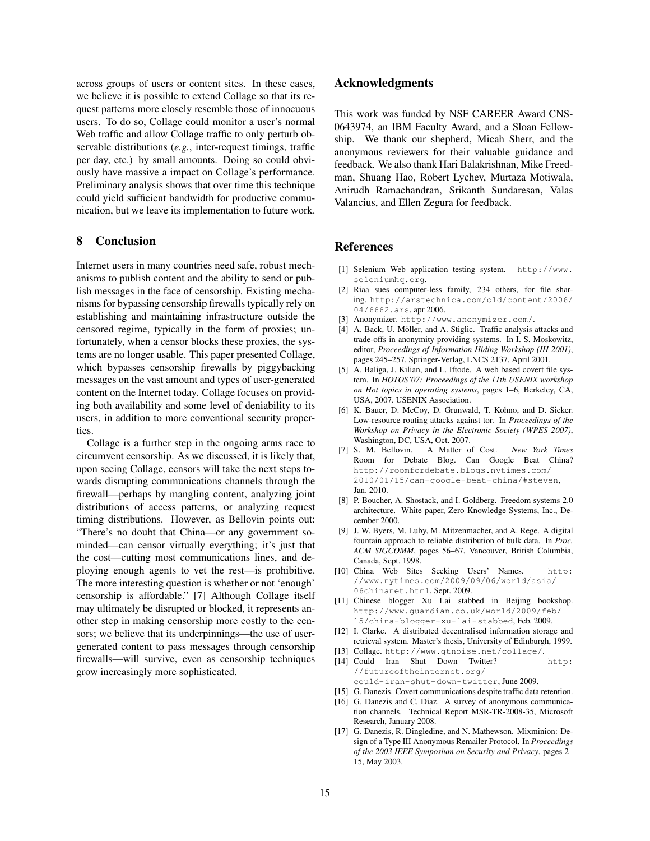across groups of users or content sites. In these cases, we believe it is possible to extend Collage so that its request patterns more closely resemble those of innocuous users. To do so, Collage could monitor a user's normal Web traffic and allow Collage traffic to only perturb observable distributions (*e.g.*, inter-request timings, traffic per day, etc.) by small amounts. Doing so could obviously have massive a impact on Collage's performance. Preliminary analysis shows that over time this technique could yield sufficient bandwidth for productive communication, but we leave its implementation to future work.

## 8 Conclusion

Internet users in many countries need safe, robust mechanisms to publish content and the ability to send or publish messages in the face of censorship. Existing mechanisms for bypassing censorship firewalls typically rely on establishing and maintaining infrastructure outside the censored regime, typically in the form of proxies; unfortunately, when a censor blocks these proxies, the systems are no longer usable. This paper presented Collage, which bypasses censorship firewalls by piggybacking messages on the vast amount and types of user-generated content on the Internet today. Collage focuses on providing both availability and some level of deniability to its users, in addition to more conventional security properties.

Collage is a further step in the ongoing arms race to circumvent censorship. As we discussed, it is likely that, upon seeing Collage, censors will take the next steps towards disrupting communications channels through the firewall—perhaps by mangling content, analyzing joint distributions of access patterns, or analyzing request timing distributions. However, as Bellovin points out: "There's no doubt that China—or any government sominded—can censor virtually everything; it's just that the cost—cutting most communications lines, and deploying enough agents to vet the rest—is prohibitive. The more interesting question is whether or not 'enough' censorship is affordable." [7] Although Collage itself may ultimately be disrupted or blocked, it represents another step in making censorship more costly to the censors; we believe that its underpinnings—the use of usergenerated content to pass messages through censorship firewalls—will survive, even as censorship techniques grow increasingly more sophisticated.

#### Acknowledgments

This work was funded by NSF CAREER Award CNS-0643974, an IBM Faculty Award, and a Sloan Fellowship. We thank our shepherd, Micah Sherr, and the anonymous reviewers for their valuable guidance and feedback. We also thank Hari Balakrishnan, Mike Freedman, Shuang Hao, Robert Lychev, Murtaza Motiwala, Anirudh Ramachandran, Srikanth Sundaresan, Valas Valancius, and Ellen Zegura for feedback.

#### References

- [1] Selenium Web application testing system. http://www. seleniumhq.org.
- [2] Riaa sues computer-less family, 234 others, for file sharing. http://arstechnica.com/old/content/2006/ 04/6662.ars, apr 2006.
- [3] Anonymizer. http://www.anonymizer.com/.
- [4] A. Back, U. Möller, and A. Stiglic. Traffic analysis attacks and trade-offs in anonymity providing systems. In I. S. Moskowitz, editor, *Proceedings of Information Hiding Workshop (IH 2001)*, pages 245–257. Springer-Verlag, LNCS 2137, April 2001.
- [5] A. Baliga, J. Kilian, and L. Iftode. A web based covert file system. In *HOTOS'07: Proceedings of the 11th USENIX workshop on Hot topics in operating systems*, pages 1–6, Berkeley, CA, USA, 2007. USENIX Association.
- [6] K. Bauer, D. McCoy, D. Grunwald, T. Kohno, and D. Sicker. Low-resource routing attacks against tor. In *Proceedings of the Workshop on Privacy in the Electronic Society (WPES 2007)*, Washington, DC, USA, Oct. 2007.
- [7] S. M. Bellovin. A Matter of Cost. *New York Times* Room for Debate Blog. Can Google Beat China? http://roomfordebate.blogs.nytimes.com/ 2010/01/15/can-google-beat-china/#steven, Jan. 2010.
- [8] P. Boucher, A. Shostack, and I. Goldberg. Freedom systems 2.0 architecture. White paper, Zero Knowledge Systems, Inc., December 2000.
- [9] J. W. Byers, M. Luby, M. Mitzenmacher, and A. Rege. A digital fountain approach to reliable distribution of bulk data. In *Proc. ACM SIGCOMM*, pages 56–67, Vancouver, British Columbia, Canada, Sept. 1998.
- [10] China Web Sites Seeking Users' Names. http: //www.nytimes.com/2009/09/06/world/asia/ 06chinanet.html, Sept. 2009.
- [11] Chinese blogger Xu Lai stabbed in Beijing bookshop. http://www.guardian.co.uk/world/2009/feb/ 15/china-blogger-xu-lai-stabbed, Feb. 2009.
- [12] I. Clarke. A distributed decentralised information storage and retrieval system. Master's thesis, University of Edinburgh, 1999.
- [13] Collage. http://www.gtnoise.net/collage/. [14] Could Iran Shut Down Twitter? http: //futureoftheinternet.org/ could-iran-shut-down-twitter, June 2009.
- [15] G. Danezis. Covert communications despite traffic data retention.
- [16] G. Danezis and C. Diaz. A survey of anonymous communication channels. Technical Report MSR-TR-2008-35, Microsoft Research, January 2008.
- [17] G. Danezis, R. Dingledine, and N. Mathewson. Mixminion: Design of a Type III Anonymous Remailer Protocol. In *Proceedings of the 2003 IEEE Symposium on Security and Privacy*, pages 2– 15, May 2003.